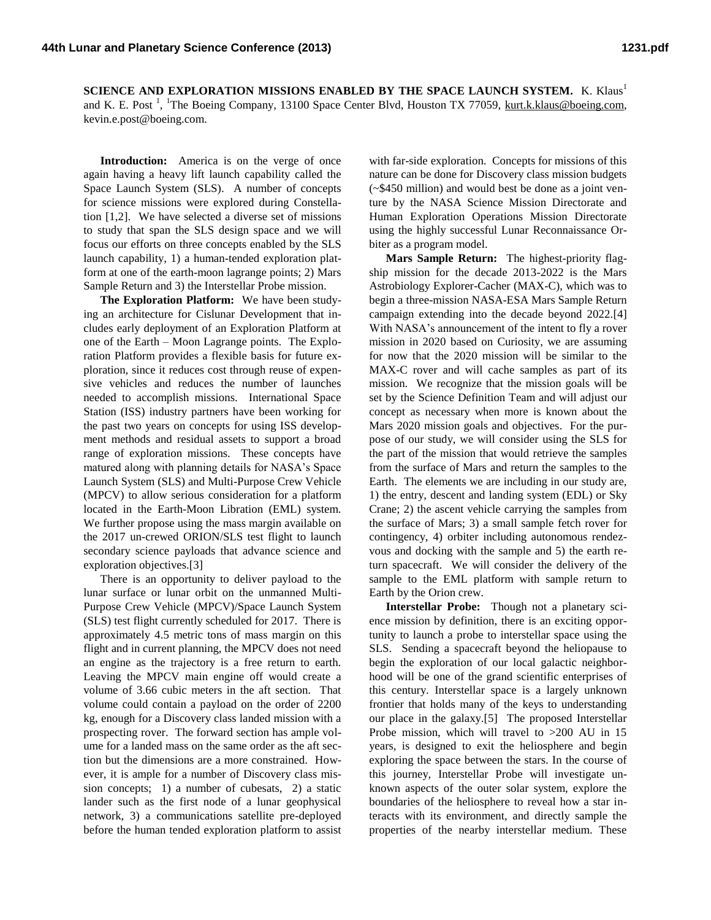**SCIENCE AND EXPLORATION MISSIONS ENABLED BY THE SPACE LAUNCH SYSTEM.** K. Klaus<sup>1</sup> and K. E. Post<sup>1</sup>, <sup>1</sup>The Boeing Company, 13100 Space Center Blvd, Houston TX 77059, [kurt.k.klaus@boeing.com,](mailto:kurt.k.klaus@boeing.com) kevin.e.post@boeing.com.

**Introduction:** America is on the verge of once again having a heavy lift launch capability called the Space Launch System (SLS). A number of concepts for science missions were explored during Constellation [1,2]. We have selected a diverse set of missions to study that span the SLS design space and we will focus our efforts on three concepts enabled by the SLS launch capability, 1) a human-tended exploration platform at one of the earth-moon lagrange points; 2) Mars Sample Return and 3) the Interstellar Probe mission.

**The Exploration Platform:** We have been studying an architecture for Cislunar Development that includes early deployment of an Exploration Platform at one of the Earth – Moon Lagrange points. The Exploration Platform provides a flexible basis for future exploration, since it reduces cost through reuse of expensive vehicles and reduces the number of launches needed to accomplish missions. International Space Station (ISS) industry partners have been working for the past two years on concepts for using ISS development methods and residual assets to support a broad range of exploration missions. These concepts have matured along with planning details for NASA's Space Launch System (SLS) and Multi-Purpose Crew Vehicle (MPCV) to allow serious consideration for a platform located in the Earth-Moon Libration (EML) system. We further propose using the mass margin available on the 2017 un-crewed ORION/SLS test flight to launch secondary science payloads that advance science and exploration objectives.[3]

There is an opportunity to deliver payload to the lunar surface or lunar orbit on the unmanned Multi-Purpose Crew Vehicle (MPCV)/Space Launch System (SLS) test flight currently scheduled for 2017. There is approximately 4.5 metric tons of mass margin on this flight and in current planning, the MPCV does not need an engine as the trajectory is a free return to earth. Leaving the MPCV main engine off would create a volume of 3.66 cubic meters in the aft section. That volume could contain a payload on the order of 2200 kg, enough for a Discovery class landed mission with a prospecting rover. The forward section has ample volume for a landed mass on the same order as the aft section but the dimensions are a more constrained. However, it is ample for a number of Discovery class mission concepts; 1) a number of cubesats, 2) a static lander such as the first node of a lunar geophysical network, 3) a communications satellite pre-deployed before the human tended exploration platform to assist

with far-side exploration. Concepts for missions of this nature can be done for Discovery class mission budgets (~\$450 million) and would best be done as a joint venture by the NASA Science Mission Directorate and Human Exploration Operations Mission Directorate using the highly successful Lunar Reconnaissance Orbiter as a program model.

**Mars Sample Return:** The highest-priority flagship mission for the decade 2013-2022 is the Mars Astrobiology Explorer-Cacher (MAX-C), which was to begin a three-mission NASA-ESA Mars Sample Return campaign extending into the decade beyond 2022.[4] With NASA's announcement of the intent to fly a rover mission in 2020 based on Curiosity, we are assuming for now that the 2020 mission will be similar to the MAX-C rover and will cache samples as part of its mission. We recognize that the mission goals will be set by the Science Definition Team and will adjust our concept as necessary when more is known about the Mars 2020 mission goals and objectives. For the purpose of our study, we will consider using the SLS for the part of the mission that would retrieve the samples from the surface of Mars and return the samples to the Earth. The elements we are including in our study are, 1) the entry, descent and landing system (EDL) or Sky Crane; 2) the ascent vehicle carrying the samples from the surface of Mars; 3) a small sample fetch rover for contingency, 4) orbiter including autonomous rendezvous and docking with the sample and 5) the earth return spacecraft. We will consider the delivery of the sample to the EML platform with sample return to Earth by the Orion crew.

**Interstellar Probe:** Though not a planetary science mission by definition, there is an exciting opportunity to launch a probe to interstellar space using the SLS. Sending a spacecraft beyond the heliopause to begin the exploration of our local galactic neighborhood will be one of the grand scientific enterprises of this century. Interstellar space is a largely unknown frontier that holds many of the keys to understanding our place in the galaxy.[5] The proposed Interstellar Probe mission, which will travel to >200 AU in 15 years, is designed to exit the heliosphere and begin exploring the space between the stars. In the course of this journey, Interstellar Probe will investigate unknown aspects of the outer solar system, explore the boundaries of the heliosphere to reveal how a star interacts with its environment, and directly sample the properties of the nearby interstellar medium. These